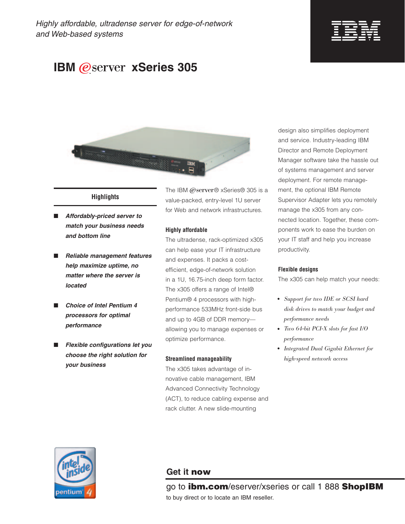

# **IBM @server xSeries 305**



# **Highlights**

- *Affordably-priced server to match your business needs and bottom line*
- *Reliable management features help maximize uptime, no matter where the server is located*
- **Choice of Intel Pentium 4** *processors for optimal performance*
- *Flexible configurations let you choose the right solution for your business*

The IBM @server® xSeries® 305 is a value-packed, entry-level 1U server for Web and network infrastructures.

#### **Highly affordable**

The ultradense, rack-optimized x305 can help ease your IT infrastructure and expenses. It packs a costefficient, edge-of-network solution in a 1U, 16.75-inch deep form factor. The x305 offers a range of Intel® Pentium® 4 processors with highperformance 533MHz front-side bus and up to 4GB of DDR memory allowing you to manage expenses or optimize performance.

#### **Streamlined manageability**

The x305 takes advantage of innovative cable management, IBM Advanced Connectivity Technology (ACT), to reduce cabling expense and rack clutter. A new slide-mounting

design also simplifies deployment and service. Industry-leading IBM Director and Remote Deployment Manager software take the hassle out of systems management and server deployment. For remote management, the optional IBM Remote Supervisor Adapter lets you remotely manage the x305 from any connected location. Together, these components work to ease the burden on your IT staff and help you increase productivity.

## **Flexible designs**

The x305 can help match your needs:

- *Support for two IDE or SCSI hard disk drives to match your budget and performance needs*
- *Two 64-bit PCI-X slots for fast I/O performance*
- *Integrated Dual Gigabit Ethernet for high-speed network access*



# **Get it now**

go to **ibm.com**/eserver/xseries or call 1 888 **ShopIBM** to buy direct or to locate an IBM reseller.